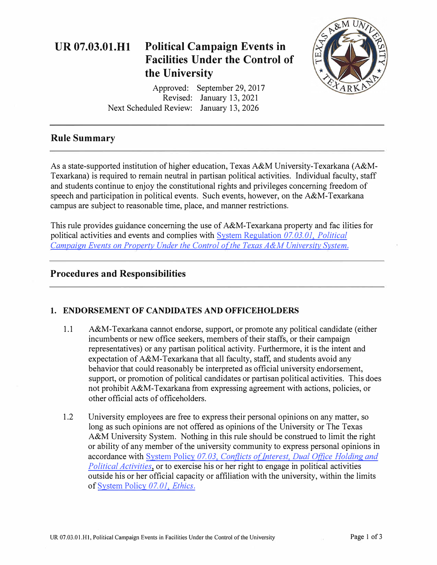

# **Rule Summary**

As a state-supported institution of higher education, Texas A&M University-Texarkana (A&M-Texarkana) is required to remain neutral in partisan political activities. Individual faculty, staff and students continue to enjoy the constitutional rights and privileges concerning freedom of speech and participation in political events. Such events, however, on the A&M-Texarkana campus are subject to reasonable time, place, and manner restrictions.

This rule provides guidance concerning the use of A&M-Texarkana property and fac ilities for political activities and events and complies with [System Regulation](https://policies.tamus.edu/07-03-01.pdf) *07.03.01, Political [Campaign Events on Property Under the Control of the Texas A&M University System.](https://policies.tamus.edu/07-03-01.pdf)* 

# **Procedures and Responsibilities**

### **1. ENDORSEMENT OF CANDIDATES AND OFFICEHOLDERS**

- 1.1 A&M-Texarkana cannot endorse, support, or promote any political candidate (either incumbents or new office seekers, members of their staffs, or their campaign representatives) or any partisan political activity. Furthermore, it is the intent and expectation of A&M-Texarkana that all faculty, staff, and students avoid any behavior that could reasonably be interpreted as official university endorsement, support, or promotion of political candidates or partisan political activities. This does not prohibit A&M-Texarkana from expressing agreement with actions, policies, or other official acts of officeholders.
- 1.2 University employees are free to express their personal opinions on any matter, so long as such opinions are not offered as opinions of the University or The Texas A&M University System. Nothing in this rule should be construed to limit the right or ability of any member of the university community to express personal opinions in accordance with System Policy 07.03, Conflicts of Interest, Dual Office Holding and *Political Activities*, or to exercise his or her right to engage in political activities outside his or her official capacity or affiliation with the university, within the limits of [System Policy](https://policies.tamus.edu/07-01.pdf) *07.01, Ethics.*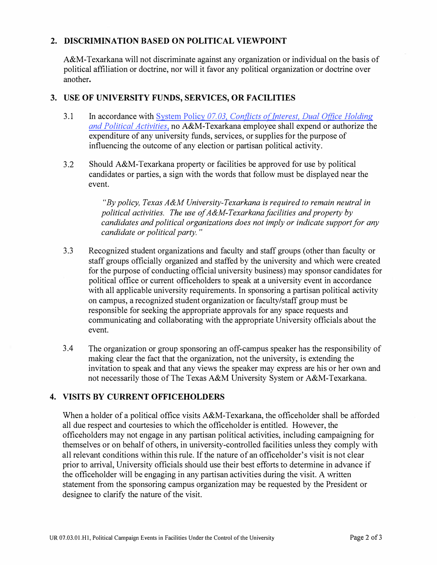### **2. DISCRIMINATION BASED ON POLITICAL VIEWPOINT**

A&M-Texarkana will not discriminate against any organization or individual on the basis of political affiliation or doctrine, nor will it favor any political organization or doctrine over another.

#### **3. USE OF UNIVERSITY FUNDS, SERVICES, OR FACILITIES**

- 3.1 In accordance with System Policy 07.03, Conflicts of Interest, Dual Office Holding *and [Political Activities,](https://policies.tamus.edu/07-03-01.pdf)* no A&M-Texarkana employee shall expend or authorize the expenditure of any university funds, services, or supplies for the purpose of influencing the outcome of any election or partisan political activity.
- 3.2 Should A&M-Texarkana property or facilities be approved for use by political candidates or parties, a sign with the words that follow must be displayed near the event.

*"By policy, Texas A&M University-Texarkana is required to remain neutral in political activities. The use of A&M-Texarkana facilities and property by candidates and political organizations does not imply or indicate support for any candidate or political party.* "

- 3.3 Recognized student organizations and faculty and staff groups (other than faculty or staff groups officially organized and staffed by the university and which were created for the purpose of conducting official university business) may sponsor candidates for political office or current officeholders to speak at a university event in accordance with all applicable university requirements. In sponsoring a partisan political activity on campus, a recognized student organization or faculty/staff group must be responsible for seeking the appropriate approvals for any space requests and communicating and collaborating with the appropriate University officials about the event.
- 3 .4 The organization or group sponsoring an off-campus speaker has the responsibility of making clear the fact that the organization, not the university, is extending the invitation to speak and that any views the speaker may express are his or her own and not necessarily those of The Texas A&M University System or A&M-Texarkana.

### **4. VISITS BY CURRENT OFFICEHOLDERS**

When a holder of a political office visits A&M-Texarkana, the officeholder shall be afforded all due respect and courtesies to which the officeholder is entitled. However, the officeholders may not engage in any partisan political activities, including campaigning for themselves or on behalf of others, in university-controlled facilities unless they comply with all relevant conditions within this rule. If the nature of an officeholder's visit is not clear prior to arrival, University officials should use their best efforts to determine in advance if the officeholder will be engaging in any partisan activities during the visit. A written statement from the sponsoring campus organization may be requested by the President or designee to clarify the nature of the visit.